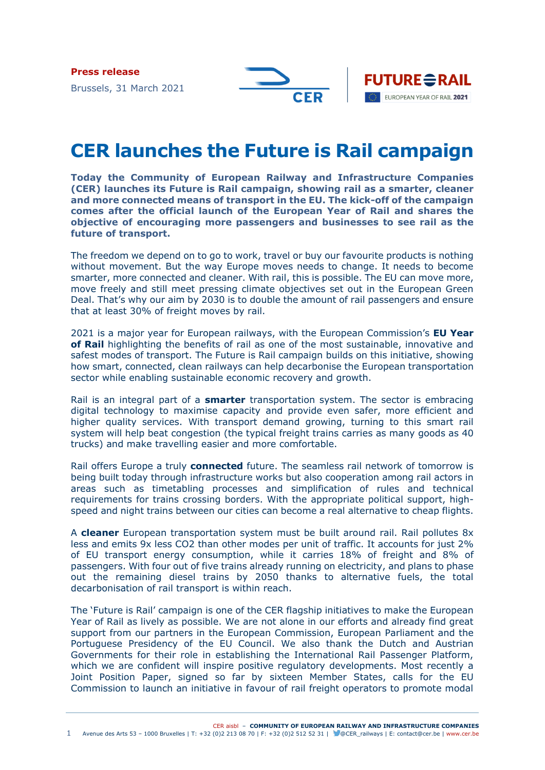**Press release**

Brussels, 31 March 2021





## **CER launches the Future is Rail campaign**

**Today the Community of European Railway and Infrastructure Companies (CER) launches its Future is Rail campaign, showing rail as a smarter, cleaner and more connected means of transport in the EU. The kick-off of the campaign comes after the official launch of the European Year of Rail and shares the objective of encouraging more passengers and businesses to see rail as the future of transport.**

The freedom we depend on to go to work, travel or buy our favourite products is nothing without movement. But the way Europe moves needs to change. It needs to become smarter, more connected and cleaner. With rail, this is possible. The EU can move more, move freely and still meet pressing climate objectives set out in the European Green Deal. That's why our aim by 2030 is to double the amount of rail passengers and ensure that at least 30% of freight moves by rail.

2021 is a major year for European railways, with the European Commission's **EU Year of Rail** highlighting the benefits of rail as one of the most sustainable, innovative and safest modes of transport. The Future is Rail campaign builds on this initiative, showing how smart, connected, clean railways can help decarbonise the European transportation sector while enabling sustainable economic recovery and growth.

Rail is an integral part of a **smarter** transportation system. The sector is embracing digital technology to maximise capacity and provide even safer, more efficient and higher quality services. With transport demand growing, turning to this smart rail system will help beat congestion (the typical freight trains carries as many goods as 40 trucks) and make travelling easier and more comfortable.

Rail offers Europe a truly **connected** future. The seamless rail network of tomorrow is being built today through infrastructure works but also cooperation among rail actors in areas such as timetabling processes and simplification of rules and technical requirements for trains crossing borders. With the appropriate political support, highspeed and night trains between our cities can become a real alternative to cheap flights.

A **cleaner** European transportation system must be built around rail. Rail pollutes 8x less and emits 9x less CO2 than other modes per unit of traffic. It accounts for just 2% of EU transport energy consumption, while it carries 18% of freight and 8% of passengers. With four out of five trains already running on electricity, and plans to phase out the remaining diesel trains by 2050 thanks to alternative fuels, the total decarbonisation of rail transport is within reach.

The 'Future is Rail' campaign is one of the CER flagship initiatives to make the European Year of Rail as lively as possible. We are not alone in our efforts and already find great support from our partners in the European Commission, European Parliament and the Portuguese Presidency of the EU Council. We also thank the Dutch and Austrian Governments for their role in establishing the International Rail Passenger Platform, which we are confident will inspire positive regulatory developments. Most recently a Joint Position Paper, signed so far by sixteen Member States, calls for the EU Commission to launch an initiative in favour of rail freight operators to promote modal

CER aisbl ‒ **COMMUNITY OF EUROPEAN RAILWAY AND INFRASTRUCTURE COMPANIES**